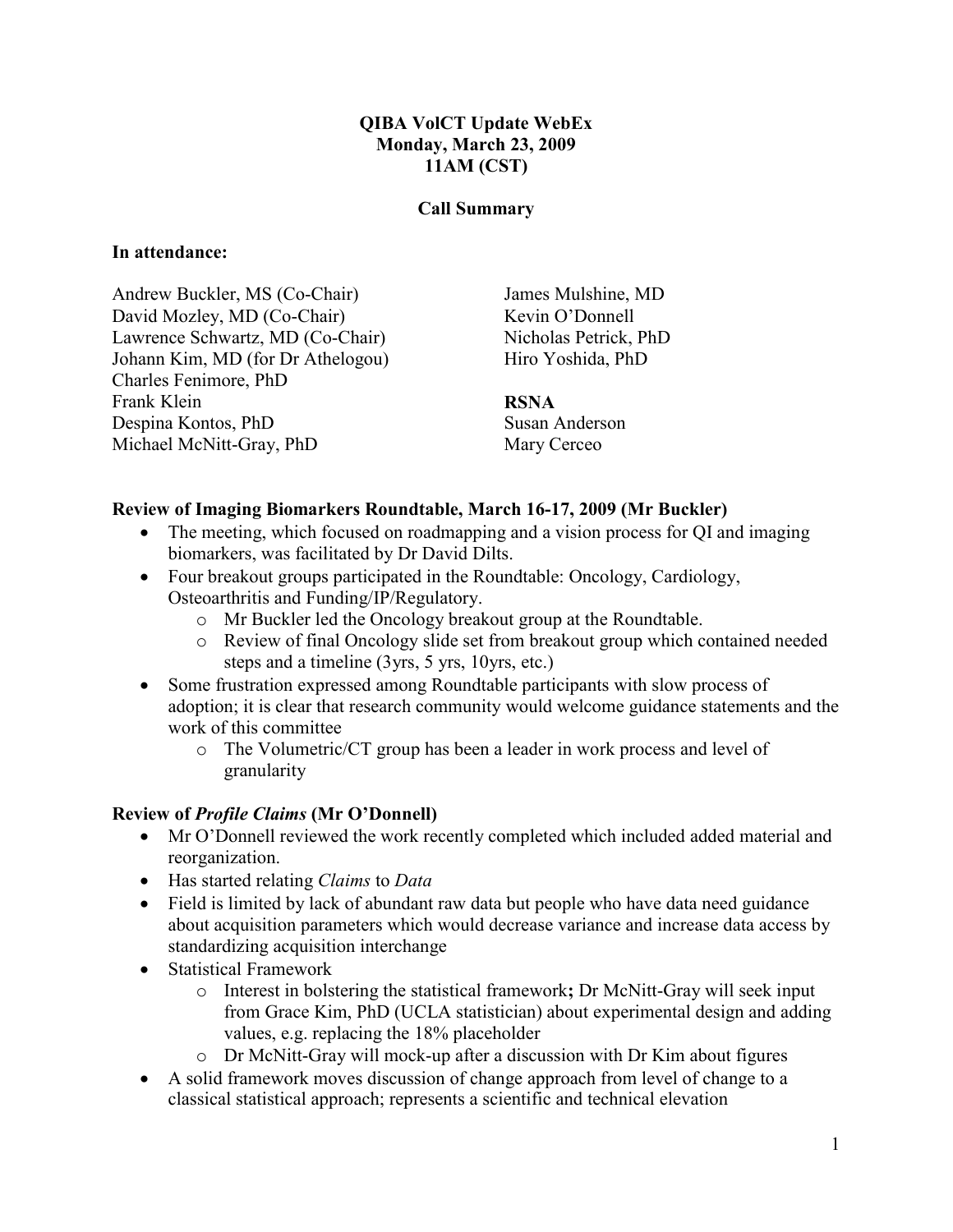# QIBA VolCT Update WebEx Monday, March 23, 2009 11AM (CST)

### Call Summary

## In attendance:

Andrew Buckler, MS (Co-Chair) David Mozley, MD (Co-Chair) Lawrence Schwartz, MD (Co-Chair) Johann Kim, MD (for Dr Athelogou) Charles Fenimore, PhD Frank Klein Despina Kontos, PhD Michael McNitt-Gray, PhD

James Mulshine, MD Kevin O'Donnell Nicholas Petrick, PhD Hiro Yoshida, PhD

### RSNA

Susan Anderson Mary Cerceo

#### Review of Imaging Biomarkers Roundtable, March 16-17, 2009 (Mr Buckler)

- The meeting, which focused on roadmapping and a vision process for OI and imaging biomarkers, was facilitated by Dr David Dilts.
- Four breakout groups participated in the Roundtable: Oncology, Cardiology, Osteoarthritis and Funding/IP/Regulatory.
	- o Mr Buckler led the Oncology breakout group at the Roundtable.
	- o Review of final Oncology slide set from breakout group which contained needed steps and a timeline (3yrs, 5 yrs, 10yrs, etc.)
- Some frustration expressed among Roundtable participants with slow process of adoption; it is clear that research community would welcome guidance statements and the work of this committee
	- o The Volumetric/CT group has been a leader in work process and level of granularity

## Review of Profile Claims (Mr O'Donnell)

- Mr O'Donnell reviewed the work recently completed which included added material and reorganization.
- Has started relating *Claims* to *Data*
- Field is limited by lack of abundant raw data but people who have data need guidance about acquisition parameters which would decrease variance and increase data access by standardizing acquisition interchange
- Statistical Framework
	- o Interest in bolstering the statistical framework; Dr McNitt-Gray will seek input from Grace Kim, PhD (UCLA statistician) about experimental design and adding values, e.g. replacing the 18% placeholder
	- o Dr McNitt-Gray will mock-up after a discussion with Dr Kim about figures
- A solid framework moves discussion of change approach from level of change to a classical statistical approach; represents a scientific and technical elevation